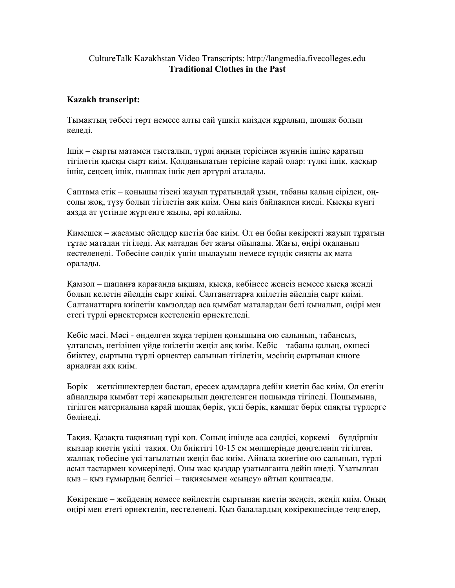## CultureTalk Kazakhstan Video Transcripts: http://langmedia.fivecolleges.edu Traditional Clothes in the Past

## Kazakh transcript:

Тымақтың төбесі төрт немесе алты сай үшкіл киізден құралып, шошақ болып келеді.

Ішік – сырты матамен тысталып, түрлі аңның терісінен жүннін ішіне қаратып тігілетін қысқы сырт киім. Қолданылатын терісіне қарай олар: түлкі ішік, қасқыр ішік, сеңсең ішік, нышпақ ішік деп əртүрлі аталады.

Саптама етік – қонышы тізені жауып тұратындай ұзын, табаны қалың сіріден, оңсолы жоқ, түзу болып тігілетін аяқ киім. Оны киіз байпақпен киеді. Қысқы күнгі аязда ат үстінде жүргенге жылы, əрі қолайлы.

Кимешек – жасамыс əйелдер киетін бас киім. Ол өн бойы көкіректі жауып тұратын тұтас матадан тігіледі. Ақ матадан бет жағы ойылады. Жағы, өңірі оқаланып кестеленеді. Төбесіне сəндік үшін шылауыш немесе күндік сияқты ақ мата оралады.

Қамзол – шапанға қарағанда ықшам, қысқа, көбінесе жеңсіз немесе қысқа женді болып келетін əйелдің сырт киімі. Салтанаттарға киілетін əйелдің сырт киімі. Салтанаттарға киілетін камзолдар аса қымбат маталардан белі қыналып, өңірі мен етегі түрлі өрнектермен кестеленіп өрнектеледі.

Кебіс мəсі. Мəсі - өнделген жұқа теріден қонышына ою салынып, табансыз, ұлтансыз, негізінен үйде киілетін жеңіл аяқ киім. Кебіс – табаны қалың, өкшесі биіктеу, сыртына түрлі өрнектер салынып тігілетін, мəсінің сыртынан киюге арналған аяқ киім.

Бөрік – жеткіншектерден бастап, ересек адамдарға дейін киетін бас киім. Ол етегін айналдыра қымбат тері жапсырылып дөңгеленген пошымда тігіледі. Пошымына, тігілген материалына қарай шошақ бөрік, үклі бөрік, камшат бөрік сияқты түрлерге бөлінеді.

Тақия. Қазақта тақияның түрі көп. Соның ішінде аса сəндісі, көркемі – бүлдіршін қыздар киетін үкілі тақия. Ол биіктігі 10-15 см мөлшерінде дөңгеленіп тігілген, жалпақ төбесіне үкі тағылатын жеңіл бас киім. Айнала жиегіне ою салынып, түрлі асыл тастармен көмкеріледі. Оны жас қыздар ұзатылғанға дейін киеді. Ұзатылған қыз – қыз ғұмырдың белгісі – тақиясымен «сыңсу» айтып қоштасады.

Көкірекше – жейденің немесе көйлектің сыртынан киетін жеңсіз, жеңіл киім. Оның өңірі мен етегі өрнектеліп, кестеленеді. Қыз балалардың көкірекшесінде теңгелер,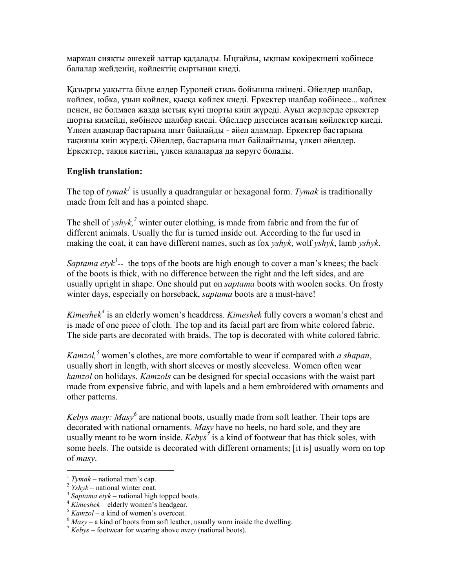маржан сияқты əшекей заттар қадалады. Ыңғайлы, ықшам көкірекшені көбінесе балалар жейденің, көйлектің сыртынан киеді.

Қазырғы уақытта бізде елдер Еуропей стиль бойынша киінеді. Əйелдер шалбар, көйлек, юбка, ұзын көйлек, қысқа көйлек киеді. Еркектер шалбар көбінесе... көйлек пенен, не болмаса жазда ыстық күні шорты киіп жүреді. Ауыл жерлерде еркектер шорты кимейді, көбінесе шалбар киеді. Əйелдер дізесінең асатың көйлектер киеді. Үлкен адамдар бастарына шыт байлайды - əйел адамдар. Еркектер бастарына тақияны киіп жүреді. Əйелдер, бастарына шыт байлайтыны, үлкен əйелдер. Еркектер, тақия киетіні, үлкен қалаларда да көруге болады.

## English translation:

The top of tymak<sup>1</sup> is usually a quadrangular or hexagonal form. Tymak is traditionally made from felt and has a pointed shape.

The shell of  $yshyk$ ,<sup>2</sup> winter outer clothing, is made from fabric and from the fur of different animals. Usually the fur is turned inside out. According to the fur used in making the coat, it can have different names, such as fox  $yshyk$ , wolf  $yshyk$ , lamb  $yshyk$ .

Saptama ety $k^3$ -- the tops of the boots are high enough to cover a man's knees; the back of the boots is thick, with no difference between the right and the left sides, and are usually upright in shape. One should put on *saptama* boots with woolen socks. On frosty winter days, especially on horseback, *saptama* boots are a must-have!

Kimeshek<sup>4</sup> is an elderly women's headdress. Kimeshek fully covers a woman's chest and is made of one piece of cloth. The top and its facial part are from white colored fabric. The side parts are decorated with braids. The top is decorated with white colored fabric.

*Kamzol*,<sup>5</sup> women's clothes, are more comfortable to wear if compared with a shapan, usually short in length, with short sleeves or mostly sleeveless. Women often wear kamzol on holidays. Kamzols can be designed for special occasions with the waist part made from expensive fabric, and with lapels and a hem embroidered with ornaments and other patterns.

Kebys masy: Masy<sup>6</sup> are national boots, usually made from soft leather. Their tops are decorated with national ornaments. Masy have no heels, no hard sole, and they are usually meant to be worn inside.  $Kebys^{\dagger}$  is a kind of footwear that has thick soles, with some heels. The outside is decorated with different ornaments; [it is] usually worn on top of masy.

 $\overline{a}$ 

 $1$  Tymak – national men's cap.

 $2$  *Yshyk* – national winter coat.

 $3$  Saptama etyk – national high topped boots.

 $4$  Kimeshek – elderly women's headgear.

 $5$  Kamzol – a kind of women's overcoat.

 $6$  Masy – a kind of boots from soft leather, usually worn inside the dwelling.

 $\frac{7}{1}$  Kebys – footwear for wearing above *masy* (national boots).